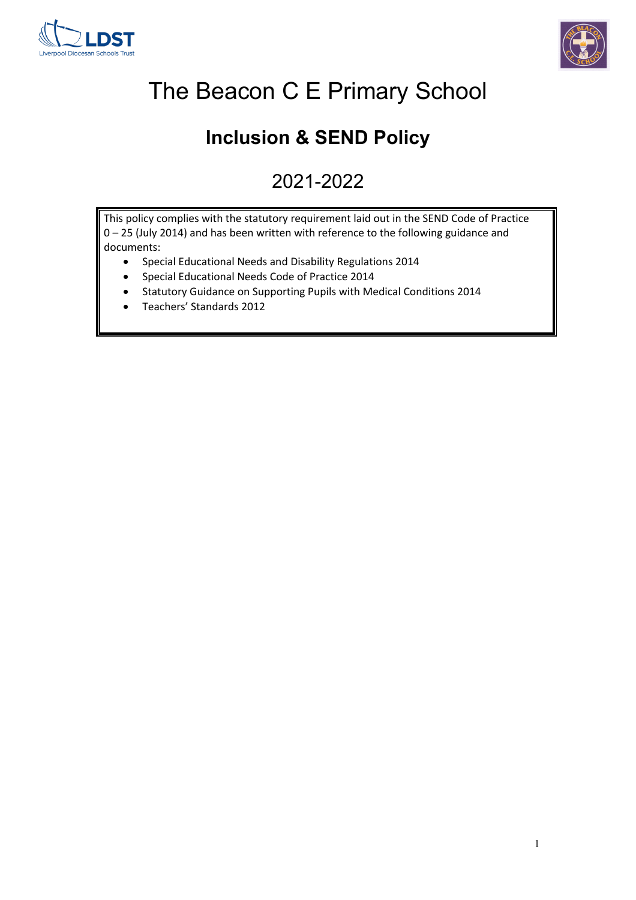



# The Beacon C E Primary School

# **Inclusion & SEND Policy**

# 2021-2022

This policy complies with the statutory requirement laid out in the SEND Code of Practice 0 – 25 (July 2014) and has been written with reference to the following guidance and documents:

- Special Educational Needs and Disability Regulations 2014
- Special Educational Needs Code of Practice 2014
- Statutory Guidance on Supporting Pupils with Medical Conditions 2014
- Teachers' Standards 2012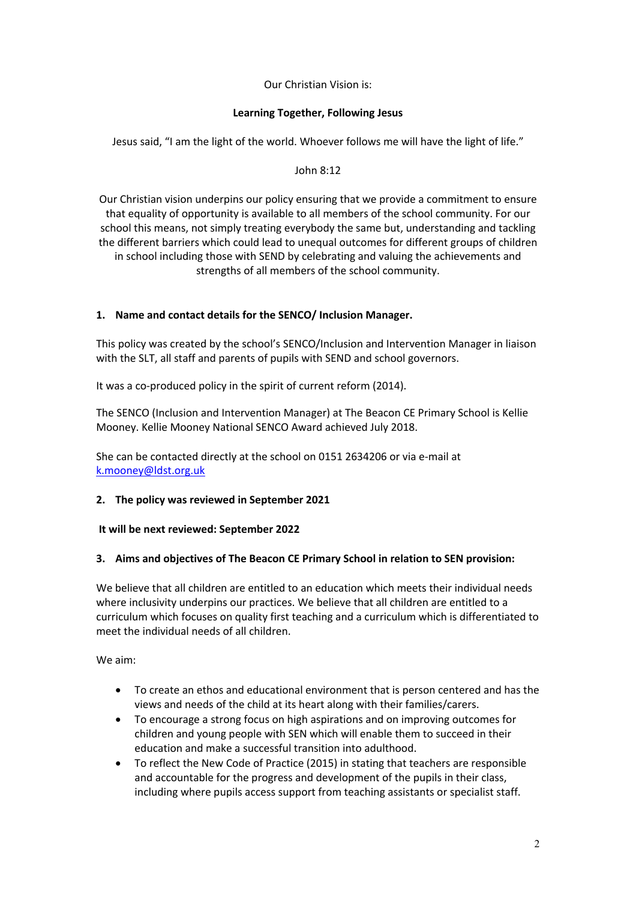#### Our Christian Vision is:

#### **Learning Together, Following Jesus**

Jesus said, "I am the light of the world. Whoever follows me will have the light of life."

#### John 8:12

Our Christian vision underpins our policy ensuring that we provide a commitment to ensure that equality of opportunity is available to all members of the school community. For our school this means, not simply treating everybody the same but, understanding and tackling the different barriers which could lead to unequal outcomes for different groups of children in school including those with SEND by celebrating and valuing the achievements and strengths of all members of the school community.

# **1. Name and contact details for the SENCO/ Inclusion Manager.**

This policy was created by the school's SENCO/Inclusion and Intervention Manager in liaison with the SLT, all staff and parents of pupils with SEND and school governors.

It was a co-produced policy in the spirit of current reform (2014).

The SENCO (Inclusion and Intervention Manager) at The Beacon CE Primary School is Kellie Mooney. Kellie Mooney National SENCO Award achieved July 2018.

She can be contacted directly at the school on 0151 2634206 or via e-mail at k.mooney@ldst.org.uk

# **2. The policy was reviewed in September 2021**

#### **It will be next reviewed: September 2022**

# **3. Aims and objectives of The Beacon CE Primary School in relation to SEN provision:**

We believe that all children are entitled to an education which meets their individual needs where inclusivity underpins our practices. We believe that all children are entitled to a curriculum which focuses on quality first teaching and a curriculum which is differentiated to meet the individual needs of all children.

We aim:

- To create an ethos and educational environment that is person centered and has the views and needs of the child at its heart along with their families/carers.
- To encourage a strong focus on high aspirations and on improving outcomes for children and young people with SEN which will enable them to succeed in their education and make a successful transition into adulthood.
- To reflect the New Code of Practice (2015) in stating that teachers are responsible and accountable for the progress and development of the pupils in their class, including where pupils access support from teaching assistants or specialist staff.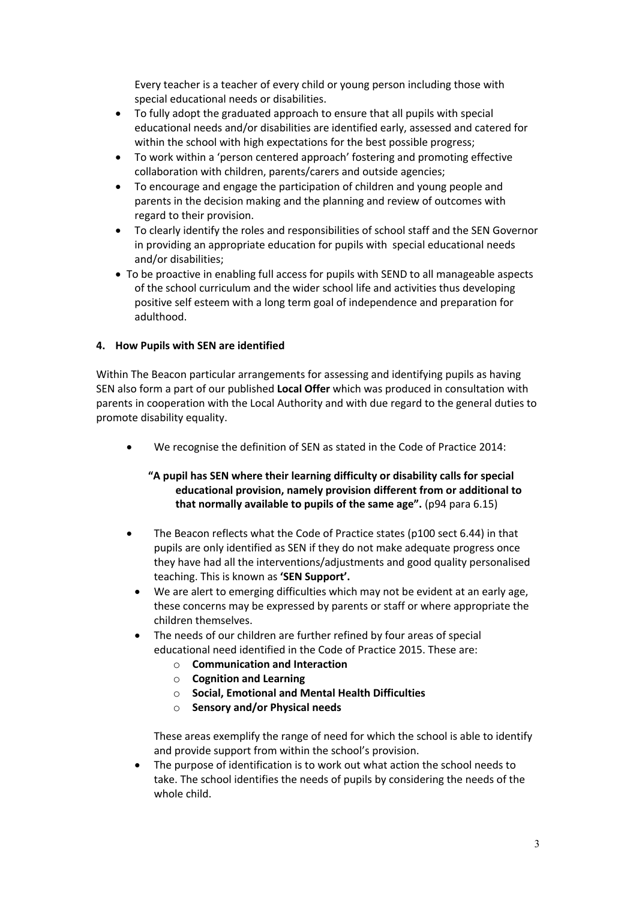Every teacher is a teacher of every child or young person including those with special educational needs or disabilities.

- To fully adopt the graduated approach to ensure that all pupils with special educational needs and/or disabilities are identified early, assessed and catered for within the school with high expectations for the best possible progress;
- To work within a 'person centered approach' fostering and promoting effective collaboration with children, parents/carers and outside agencies;
- To encourage and engage the participation of children and young people and parents in the decision making and the planning and review of outcomes with regard to their provision.
- To clearly identify the roles and responsibilities of school staff and the SEN Governor in providing an appropriate education for pupils with special educational needs and/or disabilities;
- To be proactive in enabling full access for pupils with SEND to all manageable aspects of the school curriculum and the wider school life and activities thus developing positive self esteem with a long term goal of independence and preparation for adulthood.

#### **4. How Pupils with SEN are identified**

Within The Beacon particular arrangements for assessing and identifying pupils as having SEN also form a part of our published **Local Offer** which was produced in consultation with parents in cooperation with the Local Authority and with due regard to the general duties to promote disability equality.

• We recognise the definition of SEN as stated in the Code of Practice 2014:

# **"A pupil has SEN where their learning difficulty or disability calls for special educational provision, namely provision different from or additional to that normally available to pupils of the same age".** (p94 para 6.15)

- The Beacon reflects what the Code of Practice states (p100 sect 6.44) in that pupils are only identified as SEN if they do not make adequate progress once they have had all the interventions/adjustments and good quality personalised teaching. This is known as **'SEN Support'.**
	- We are alert to emerging difficulties which may not be evident at an early age, these concerns may be expressed by parents or staff or where appropriate the children themselves.
- The needs of our children are further refined by four areas of special educational need identified in the Code of Practice 2015. These are:
	- o **Communication and Interaction**
	- o **Cognition and Learning**
	- o **Social, Emotional and Mental Health Difficulties**
	- o **Sensory and/or Physical needs**

These areas exemplify the range of need for which the school is able to identify and provide support from within the school's provision.

The purpose of identification is to work out what action the school needs to take. The school identifies the needs of pupils by considering the needs of the whole child.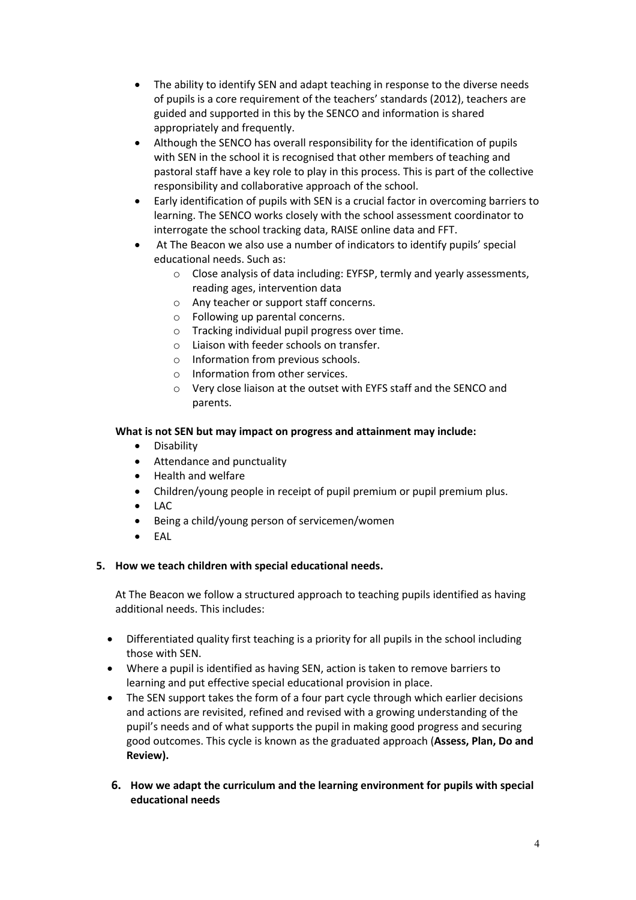- The ability to identify SEN and adapt teaching in response to the diverse needs of pupils is a core requirement of the teachers' standards (2012), teachers are guided and supported in this by the SENCO and information is shared appropriately and frequently.
- Although the SENCO has overall responsibility for the identification of pupils with SEN in the school it is recognised that other members of teaching and pastoral staff have a key role to play in this process. This is part of the collective responsibility and collaborative approach of the school.
- Early identification of pupils with SEN is a crucial factor in overcoming barriers to learning. The SENCO works closely with the school assessment coordinator to interrogate the school tracking data, RAISE online data and FFT.
- At The Beacon we also use a number of indicators to identify pupils' special educational needs. Such as:
	- o Close analysis of data including: EYFSP, termly and yearly assessments, reading ages, intervention data
	- o Any teacher or support staff concerns.
	- o Following up parental concerns.
	- o Tracking individual pupil progress over time.
	- o Liaison with feeder schools on transfer.
	- o Information from previous schools.
	- o Information from other services.
	- o Very close liaison at the outset with EYFS staff and the SENCO and parents.

#### **What is not SEN but may impact on progress and attainment may include:**

- Disability
- Attendance and punctuality
- Health and welfare
- Children/young people in receipt of pupil premium or pupil premium plus.
- LAC
- Being a child/young person of servicemen/women
- EAL

#### **5. How we teach children with special educational needs.**

At The Beacon we follow a structured approach to teaching pupils identified as having additional needs. This includes:

- Differentiated quality first teaching is a priority for all pupils in the school including those with SEN.
- Where a pupil is identified as having SEN, action is taken to remove barriers to learning and put effective special educational provision in place.
- The SEN support takes the form of a four part cycle through which earlier decisions and actions are revisited, refined and revised with a growing understanding of the pupil's needs and of what supports the pupil in making good progress and securing good outcomes. This cycle is known as the graduated approach (**Assess, Plan, Do and Review).**
- **6. How we adapt the curriculum and the learning environment for pupils with special educational needs**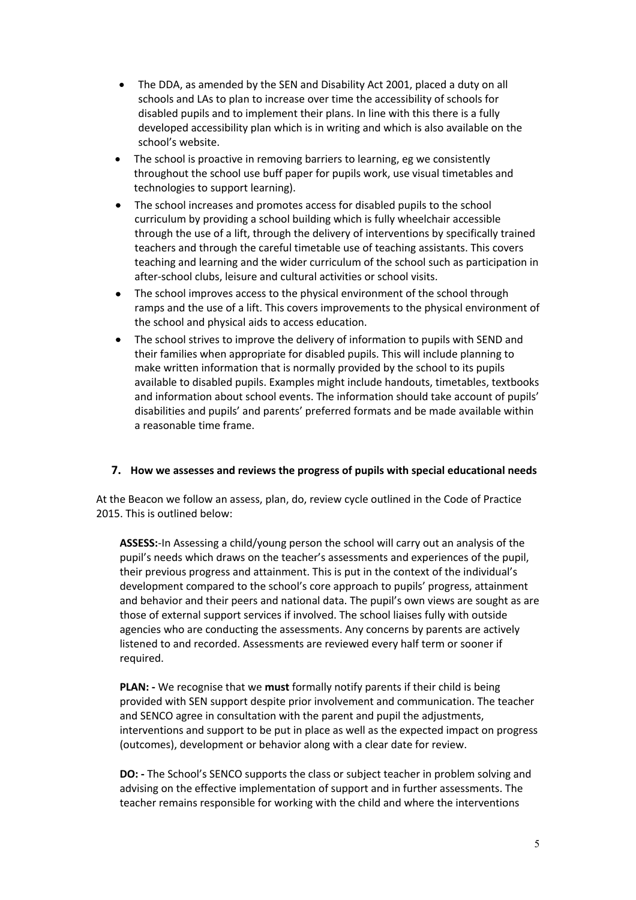- The DDA, as amended by the SEN and Disability Act 2001, placed a duty on all schools and LAs to plan to increase over time the accessibility of schools for disabled pupils and to implement their plans. In line with this there is a fully developed accessibility plan which is in writing and which is also available on the school's website.
- The school is proactive in removing barriers to learning, eg we consistently throughout the school use buff paper for pupils work, use visual timetables and technologies to support learning).
- The school increases and promotes access for disabled pupils to the school curriculum by providing a school building which is fully wheelchair accessible through the use of a lift, through the delivery of interventions by specifically trained teachers and through the careful timetable use of teaching assistants. This covers teaching and learning and the wider curriculum of the school such as participation in after-school clubs, leisure and cultural activities or school visits.
- The school improves access to the physical environment of the school through ramps and the use of a lift. This covers improvements to the physical environment of the school and physical aids to access education.
- The school strives to improve the delivery of information to pupils with SEND and their families when appropriate for disabled pupils. This will include planning to make written information that is normally provided by the school to its pupils available to disabled pupils. Examples might include handouts, timetables, textbooks and information about school events. The information should take account of pupils' disabilities and pupils' and parents' preferred formats and be made available within a reasonable time frame.

# **7. How we assesses and reviews the progress of pupils with special educational needs**

At the Beacon we follow an assess, plan, do, review cycle outlined in the Code of Practice 2015. This is outlined below:

**ASSESS:**-In Assessing a child/young person the school will carry out an analysis of the pupil's needs which draws on the teacher's assessments and experiences of the pupil, their previous progress and attainment. This is put in the context of the individual's development compared to the school's core approach to pupils' progress, attainment and behavior and their peers and national data. The pupil's own views are sought as are those of external support services if involved. The school liaises fully with outside agencies who are conducting the assessments. Any concerns by parents are actively listened to and recorded. Assessments are reviewed every half term or sooner if required.

**PLAN: -** We recognise that we **must** formally notify parents if their child is being provided with SEN support despite prior involvement and communication. The teacher and SENCO agree in consultation with the parent and pupil the adjustments, interventions and support to be put in place as well as the expected impact on progress (outcomes), development or behavior along with a clear date for review.

**DO: -** The School's SENCO supports the class or subject teacher in problem solving and advising on the effective implementation of support and in further assessments. The teacher remains responsible for working with the child and where the interventions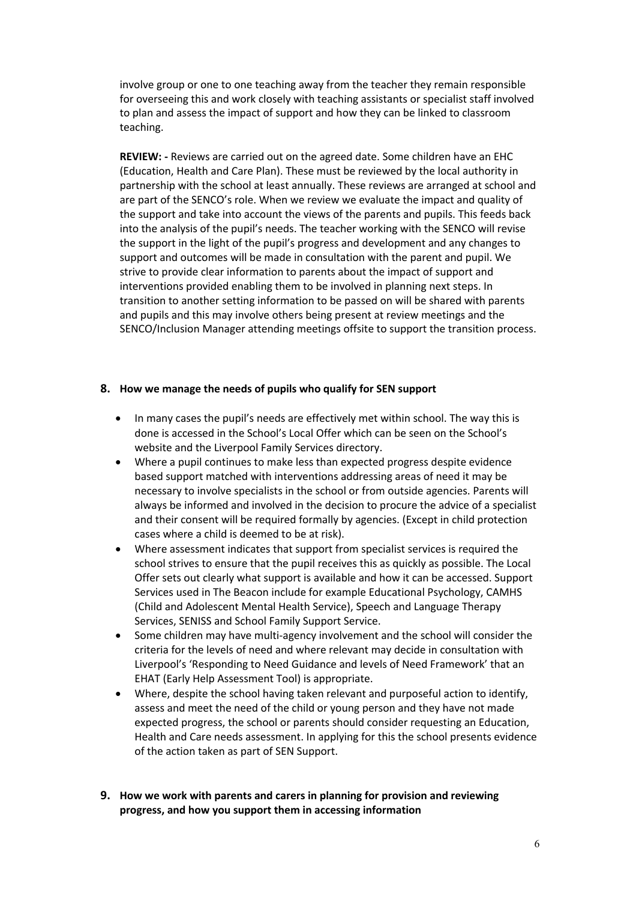involve group or one to one teaching away from the teacher they remain responsible for overseeing this and work closely with teaching assistants or specialist staff involved to plan and assess the impact of support and how they can be linked to classroom teaching.

**REVIEW: -** Reviews are carried out on the agreed date. Some children have an EHC (Education, Health and Care Plan). These must be reviewed by the local authority in partnership with the school at least annually. These reviews are arranged at school and are part of the SENCO's role. When we review we evaluate the impact and quality of the support and take into account the views of the parents and pupils. This feeds back into the analysis of the pupil's needs. The teacher working with the SENCO will revise the support in the light of the pupil's progress and development and any changes to support and outcomes will be made in consultation with the parent and pupil. We strive to provide clear information to parents about the impact of support and interventions provided enabling them to be involved in planning next steps. In transition to another setting information to be passed on will be shared with parents and pupils and this may involve others being present at review meetings and the SENCO/Inclusion Manager attending meetings offsite to support the transition process.

#### **8. How we manage the needs of pupils who qualify for SEN support**

- In many cases the pupil's needs are effectively met within school. The way this is done is accessed in the School's Local Offer which can be seen on the School's website and the Liverpool Family Services directory.
- Where a pupil continues to make less than expected progress despite evidence based support matched with interventions addressing areas of need it may be necessary to involve specialists in the school or from outside agencies. Parents will always be informed and involved in the decision to procure the advice of a specialist and their consent will be required formally by agencies. (Except in child protection cases where a child is deemed to be at risk).
- Where assessment indicates that support from specialist services is required the school strives to ensure that the pupil receives this as quickly as possible. The Local Offer sets out clearly what support is available and how it can be accessed. Support Services used in The Beacon include for example Educational Psychology, CAMHS (Child and Adolescent Mental Health Service), Speech and Language Therapy Services, SENISS and School Family Support Service.
- Some children may have multi-agency involvement and the school will consider the criteria for the levels of need and where relevant may decide in consultation with Liverpool's 'Responding to Need Guidance and levels of Need Framework' that an EHAT (Early Help Assessment Tool) is appropriate.
- Where, despite the school having taken relevant and purposeful action to identify, assess and meet the need of the child or young person and they have not made expected progress, the school or parents should consider requesting an Education, Health and Care needs assessment. In applying for this the school presents evidence of the action taken as part of SEN Support.
- **9. How we work with parents and carers in planning for provision and reviewing progress, and how you support them in accessing information**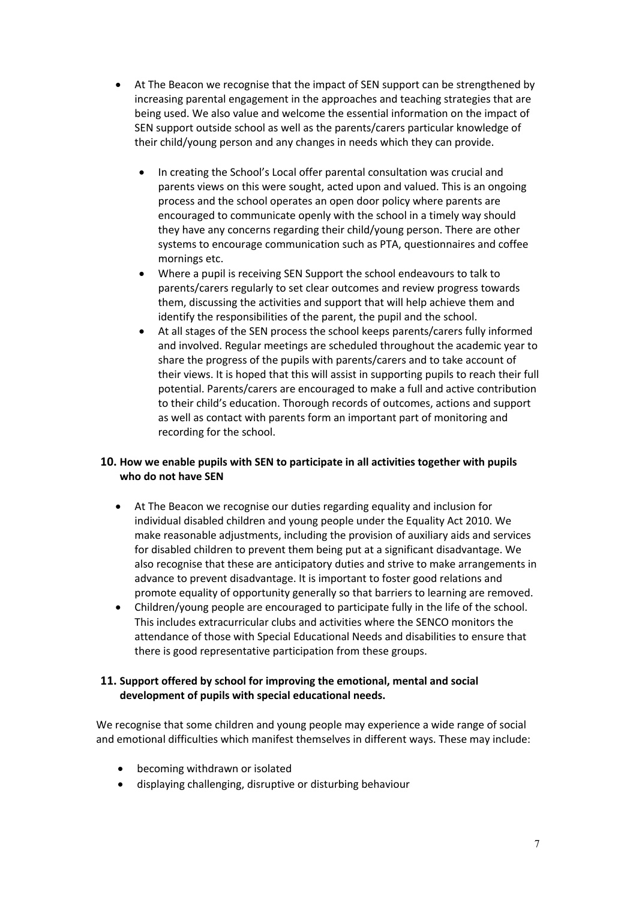- At The Beacon we recognise that the impact of SEN support can be strengthened by increasing parental engagement in the approaches and teaching strategies that are being used. We also value and welcome the essential information on the impact of SEN support outside school as well as the parents/carers particular knowledge of their child/young person and any changes in needs which they can provide.
	- In creating the School's Local offer parental consultation was crucial and parents views on this were sought, acted upon and valued. This is an ongoing process and the school operates an open door policy where parents are encouraged to communicate openly with the school in a timely way should they have any concerns regarding their child/young person. There are other systems to encourage communication such as PTA, questionnaires and coffee mornings etc.
	- Where a pupil is receiving SEN Support the school endeavours to talk to parents/carers regularly to set clear outcomes and review progress towards them, discussing the activities and support that will help achieve them and identify the responsibilities of the parent, the pupil and the school.
	- At all stages of the SEN process the school keeps parents/carers fully informed and involved. Regular meetings are scheduled throughout the academic year to share the progress of the pupils with parents/carers and to take account of their views. It is hoped that this will assist in supporting pupils to reach their full potential. Parents/carers are encouraged to make a full and active contribution to their child's education. Thorough records of outcomes, actions and support as well as contact with parents form an important part of monitoring and recording for the school.

# **10. How we enable pupils with SEN to participate in all activities together with pupils who do not have SEN**

- At The Beacon we recognise our duties regarding equality and inclusion for individual disabled children and young people under the Equality Act 2010. We make reasonable adjustments, including the provision of auxiliary aids and services for disabled children to prevent them being put at a significant disadvantage. We also recognise that these are anticipatory duties and strive to make arrangements in advance to prevent disadvantage. It is important to foster good relations and promote equality of opportunity generally so that barriers to learning are removed.
- Children/young people are encouraged to participate fully in the life of the school. This includes extracurricular clubs and activities where the SENCO monitors the attendance of those with Special Educational Needs and disabilities to ensure that there is good representative participation from these groups.

# **11. Support offered by school for improving the emotional, mental and social development of pupils with special educational needs.**

We recognise that some children and young people may experience a wide range of social and emotional difficulties which manifest themselves in different ways. These may include:

- becoming withdrawn or isolated
- displaying challenging, disruptive or disturbing behaviour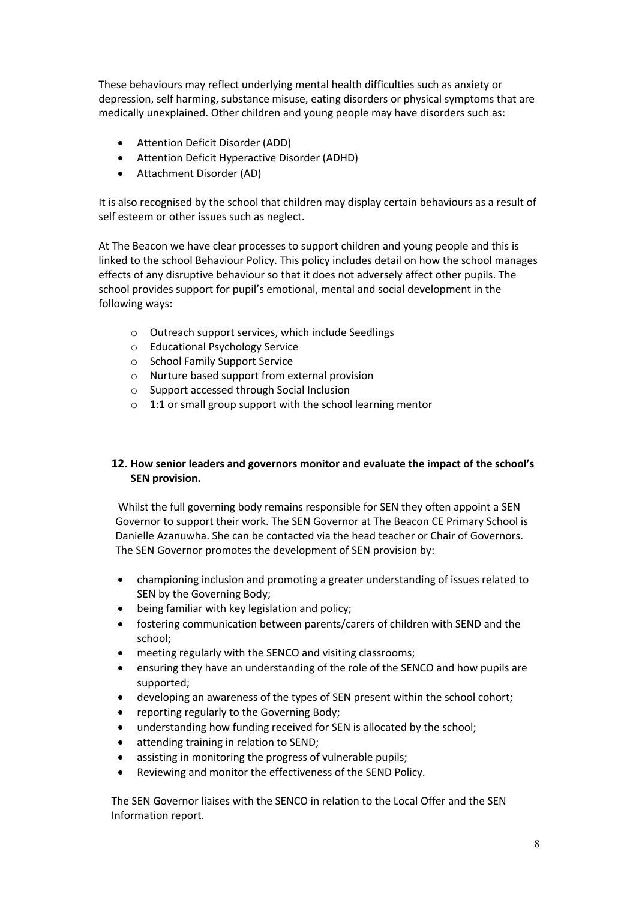These behaviours may reflect underlying mental health difficulties such as anxiety or depression, self harming, substance misuse, eating disorders or physical symptoms that are medically unexplained. Other children and young people may have disorders such as:

- Attention Deficit Disorder (ADD)
- Attention Deficit Hyperactive Disorder (ADHD)
- Attachment Disorder (AD)

It is also recognised by the school that children may display certain behaviours as a result of self esteem or other issues such as neglect.

At The Beacon we have clear processes to support children and young people and this is linked to the school Behaviour Policy. This policy includes detail on how the school manages effects of any disruptive behaviour so that it does not adversely affect other pupils. The school provides support for pupil's emotional, mental and social development in the following ways:

- o Outreach support services, which include Seedlings
- o Educational Psychology Service
- o School Family Support Service
- o Nurture based support from external provision
- o Support accessed through Social Inclusion
- o 1:1 or small group support with the school learning mentor

# **12. How senior leaders and governors monitor and evaluate the impact of the school's SEN provision.**

Whilst the full governing body remains responsible for SEN they often appoint a SEN Governor to support their work. The SEN Governor at The Beacon CE Primary School is Danielle Azanuwha. She can be contacted via the head teacher or Chair of Governors. The SEN Governor promotes the development of SEN provision by:

- championing inclusion and promoting a greater understanding of issues related to SEN by the Governing Body;
- being familiar with key legislation and policy;
- fostering communication between parents/carers of children with SEND and the school;
- meeting regularly with the SENCO and visiting classrooms;
- ensuring they have an understanding of the role of the SENCO and how pupils are supported;
- developing an awareness of the types of SEN present within the school cohort;
- reporting regularly to the Governing Body;
- understanding how funding received for SEN is allocated by the school;
- attending training in relation to SEND;
- assisting in monitoring the progress of vulnerable pupils;
- Reviewing and monitor the effectiveness of the SEND Policy.

The SEN Governor liaises with the SENCO in relation to the Local Offer and the SEN Information report.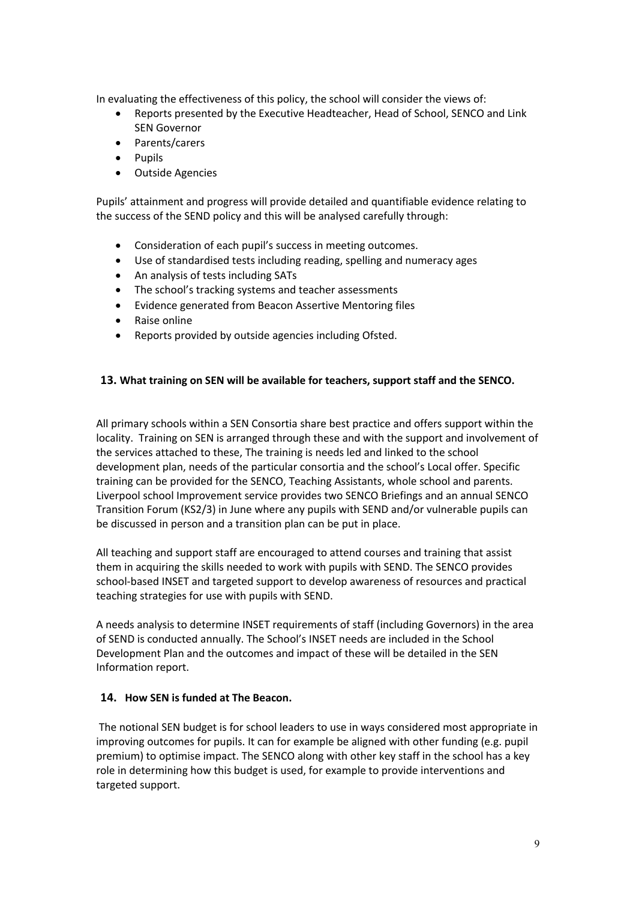In evaluating the effectiveness of this policy, the school will consider the views of:

- Reports presented by the Executive Headteacher, Head of School, SENCO and Link SEN Governor
- Parents/carers
- Pupils
- Outside Agencies

Pupils' attainment and progress will provide detailed and quantifiable evidence relating to the success of the SEND policy and this will be analysed carefully through:

- Consideration of each pupil's success in meeting outcomes.
- Use of standardised tests including reading, spelling and numeracy ages
- An analysis of tests including SATs
- The school's tracking systems and teacher assessments
- Evidence generated from Beacon Assertive Mentoring files
- Raise online
- Reports provided by outside agencies including Ofsted.

#### **13. What training on SEN will be available for teachers, support staff and the SENCO.**

All primary schools within a SEN Consortia share best practice and offers support within the locality. Training on SEN is arranged through these and with the support and involvement of the services attached to these, The training is needs led and linked to the school development plan, needs of the particular consortia and the school's Local offer. Specific training can be provided for the SENCO, Teaching Assistants, whole school and parents. Liverpool school Improvement service provides two SENCO Briefings and an annual SENCO Transition Forum (KS2/3) in June where any pupils with SEND and/or vulnerable pupils can be discussed in person and a transition plan can be put in place.

All teaching and support staff are encouraged to attend courses and training that assist them in acquiring the skills needed to work with pupils with SEND. The SENCO provides school-based INSET and targeted support to develop awareness of resources and practical teaching strategies for use with pupils with SEND.

A needs analysis to determine INSET requirements of staff (including Governors) in the area of SEND is conducted annually. The School's INSET needs are included in the School Development Plan and the outcomes and impact of these will be detailed in the SEN Information report.

#### **14. How SEN is funded at The Beacon.**

The notional SEN budget is for school leaders to use in ways considered most appropriate in improving outcomes for pupils. It can for example be aligned with other funding (e.g. pupil premium) to optimise impact. The SENCO along with other key staff in the school has a key role in determining how this budget is used, for example to provide interventions and targeted support.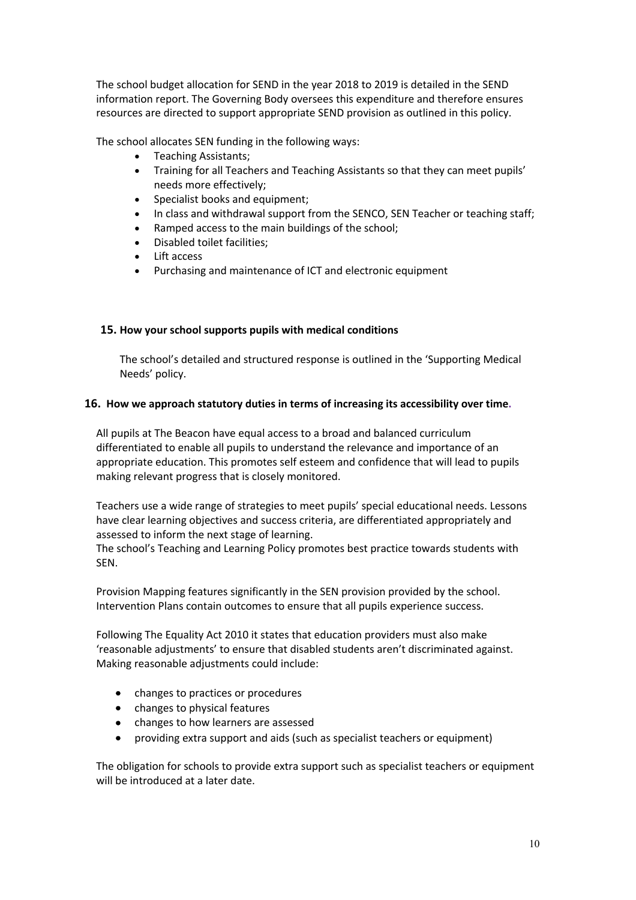The school budget allocation for SEND in the year 2018 to 2019 is detailed in the SEND information report. The Governing Body oversees this expenditure and therefore ensures resources are directed to support appropriate SEND provision as outlined in this policy.

The school allocates SEN funding in the following ways:

- Teaching Assistants;
- Training for all Teachers and Teaching Assistants so that they can meet pupils' needs more effectively;
- Specialist books and equipment;
- In class and withdrawal support from the SENCO, SEN Teacher or teaching staff;
- Ramped access to the main buildings of the school;
- Disabled toilet facilities;
- Lift access
- Purchasing and maintenance of ICT and electronic equipment

#### **15. How your school supports pupils with medical conditions**

The school's detailed and structured response is outlined in the 'Supporting Medical Needs' policy.

#### **16. How we approach statutory duties in terms of increasing its accessibility over time.**

All pupils at The Beacon have equal access to a broad and balanced curriculum differentiated to enable all pupils to understand the relevance and importance of an appropriate education. This promotes self esteem and confidence that will lead to pupils making relevant progress that is closely monitored.

Teachers use a wide range of strategies to meet pupils' special educational needs. Lessons have clear learning objectives and success criteria, are differentiated appropriately and assessed to inform the next stage of learning.

The school's Teaching and Learning Policy promotes best practice towards students with SEN.

Provision Mapping features significantly in the SEN provision provided by the school. Intervention Plans contain outcomes to ensure that all pupils experience success.

Following The Equality Act 2010 it states that education providers must also make 'reasonable adjustments' to ensure that disabled students aren't discriminated against. Making reasonable adjustments could include:

- changes to practices or procedures
- changes to physical features
- changes to how learners are assessed
- providing extra support and aids (such as specialist teachers or equipment)

The obligation for schools to provide extra support such as specialist teachers or equipment will be introduced at a later date.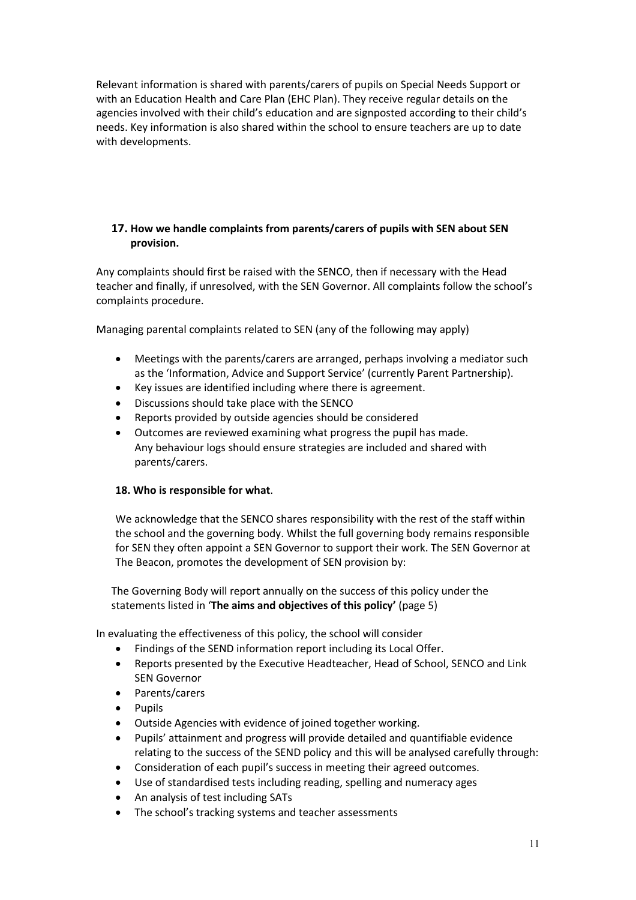Relevant information is shared with parents/carers of pupils on Special Needs Support or with an Education Health and Care Plan (EHC Plan). They receive regular details on the agencies involved with their child's education and are signposted according to their child's needs. Key information is also shared within the school to ensure teachers are up to date with developments.

# **17. How we handle complaints from parents/carers of pupils with SEN about SEN provision.**

Any complaints should first be raised with the SENCO, then if necessary with the Head teacher and finally, if unresolved, with the SEN Governor. All complaints follow the school's complaints procedure.

Managing parental complaints related to SEN (any of the following may apply)

- Meetings with the parents/carers are arranged, perhaps involving a mediator such as the 'Information, Advice and Support Service' (currently Parent Partnership).
- Key issues are identified including where there is agreement.
- Discussions should take place with the SENCO
- Reports provided by outside agencies should be considered
- Outcomes are reviewed examining what progress the pupil has made. Any behaviour logs should ensure strategies are included and shared with parents/carers.

# **18. Who is responsible for what**.

We acknowledge that the SENCO shares responsibility with the rest of the staff within the school and the governing body. Whilst the full governing body remains responsible for SEN they often appoint a SEN Governor to support their work. The SEN Governor at The Beacon, promotes the development of SEN provision by:

The Governing Body will report annually on the success of this policy under the statements listed in '**The aims and objectives of this policy'** (page 5)

In evaluating the effectiveness of this policy, the school will consider

- Findings of the SEND information report including its Local Offer.
- Reports presented by the Executive Headteacher, Head of School, SENCO and Link SEN Governor
- Parents/carers
- **Pupils**
- Outside Agencies with evidence of joined together working.
- Pupils' attainment and progress will provide detailed and quantifiable evidence relating to the success of the SEND policy and this will be analysed carefully through:
- Consideration of each pupil's success in meeting their agreed outcomes.
- Use of standardised tests including reading, spelling and numeracy ages
- An analysis of test including SATs
- The school's tracking systems and teacher assessments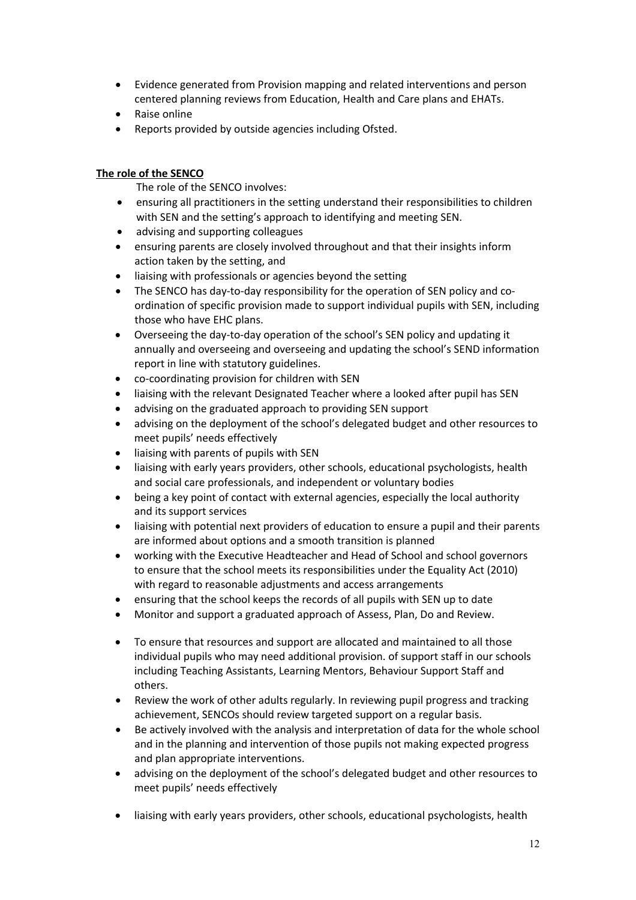- Evidence generated from Provision mapping and related interventions and person centered planning reviews from Education, Health and Care plans and EHATs.
- Raise online
- Reports provided by outside agencies including Ofsted.

# **The role of the SENCO**

The role of the SENCO involves:

- ensuring all practitioners in the setting understand their responsibilities to children with SEN and the setting's approach to identifying and meeting SEN.
- advising and supporting colleagues
- ensuring parents are closely involved throughout and that their insights inform action taken by the setting, and
- liaising with professionals or agencies beyond the setting
- The SENCO has day-to-day responsibility for the operation of SEN policy and coordination of specific provision made to support individual pupils with SEN, including those who have EHC plans.
- Overseeing the day-to-day operation of the school's SEN policy and updating it annually and overseeing and overseeing and updating the school's SEND information report in line with statutory guidelines.
- co-coordinating provision for children with SEN
- liaising with the relevant Designated Teacher where a looked after pupil has SEN
- advising on the graduated approach to providing SEN support
- advising on the deployment of the school's delegated budget and other resources to meet pupils' needs effectively
- liaising with parents of pupils with SEN
- liaising with early years providers, other schools, educational psychologists, health and social care professionals, and independent or voluntary bodies
- being a key point of contact with external agencies, especially the local authority and its support services
- liaising with potential next providers of education to ensure a pupil and their parents are informed about options and a smooth transition is planned
- working with the Executive Headteacher and Head of School and school governors to ensure that the school meets its responsibilities under the Equality Act (2010) with regard to reasonable adjustments and access arrangements
- ensuring that the school keeps the records of all pupils with SEN up to date
- Monitor and support a graduated approach of Assess, Plan, Do and Review.
- To ensure that resources and support are allocated and maintained to all those individual pupils who may need additional provision. of support staff in our schools including Teaching Assistants, Learning Mentors, Behaviour Support Staff and others.
- Review the work of other adults regularly. In reviewing pupil progress and tracking achievement, SENCOs should review targeted support on a regular basis.
- Be actively involved with the analysis and interpretation of data for the whole school and in the planning and intervention of those pupils not making expected progress and plan appropriate interventions.
- advising on the deployment of the school's delegated budget and other resources to meet pupils' needs effectively
- liaising with early years providers, other schools, educational psychologists, health